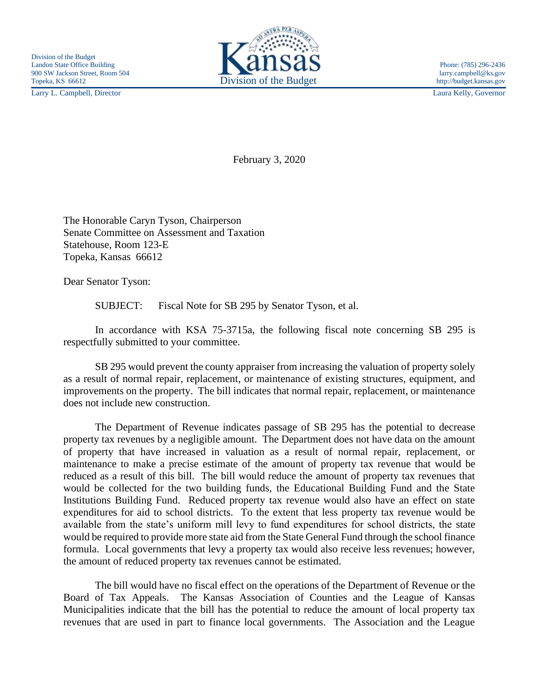Larry L. Campbell, Director Laura Kelly, Governor



February 3, 2020

The Honorable Caryn Tyson, Chairperson Senate Committee on Assessment and Taxation Statehouse, Room 123-E Topeka, Kansas 66612

Dear Senator Tyson:

SUBJECT: Fiscal Note for SB 295 by Senator Tyson, et al.

In accordance with KSA 75-3715a, the following fiscal note concerning SB 295 is respectfully submitted to your committee.

SB 295 would prevent the county appraiser from increasing the valuation of property solely as a result of normal repair, replacement, or maintenance of existing structures, equipment, and improvements on the property. The bill indicates that normal repair, replacement, or maintenance does not include new construction.

The Department of Revenue indicates passage of SB 295 has the potential to decrease property tax revenues by a negligible amount. The Department does not have data on the amount of property that have increased in valuation as a result of normal repair, replacement, or maintenance to make a precise estimate of the amount of property tax revenue that would be reduced as a result of this bill. The bill would reduce the amount of property tax revenues that would be collected for the two building funds, the Educational Building Fund and the State Institutions Building Fund. Reduced property tax revenue would also have an effect on state expenditures for aid to school districts. To the extent that less property tax revenue would be available from the state's uniform mill levy to fund expenditures for school districts, the state would be required to provide more state aid from the State General Fund through the school finance formula. Local governments that levy a property tax would also receive less revenues; however, the amount of reduced property tax revenues cannot be estimated.

The bill would have no fiscal effect on the operations of the Department of Revenue or the Board of Tax Appeals. The Kansas Association of Counties and the League of Kansas Municipalities indicate that the bill has the potential to reduce the amount of local property tax revenues that are used in part to finance local governments. The Association and the League